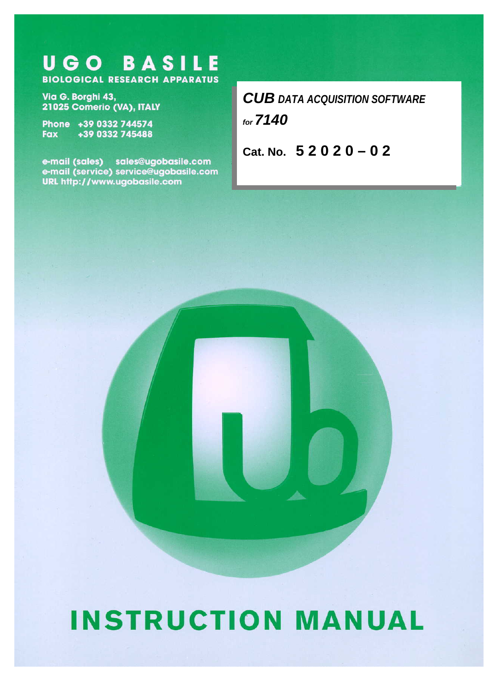# UGO BASILE

**BIOLOGICAL RESEARCH APPARATUS** 

Via G. Borahi 43. 21025 Comerio (VA), ITALY

Phone +39 0332 744574 Fax +39 0332 745488

e-mail (sales) sales@ugobasile.com<br>e-mail (service) service@ugobasile.com URL http://www.ugobasile.com

*CUB DATA ACQUISITION SOFTWARE for 7140*

# **Cat. No. 5 2 0 2 0 – 0 2**

# **INSTRUCTION MANUAL**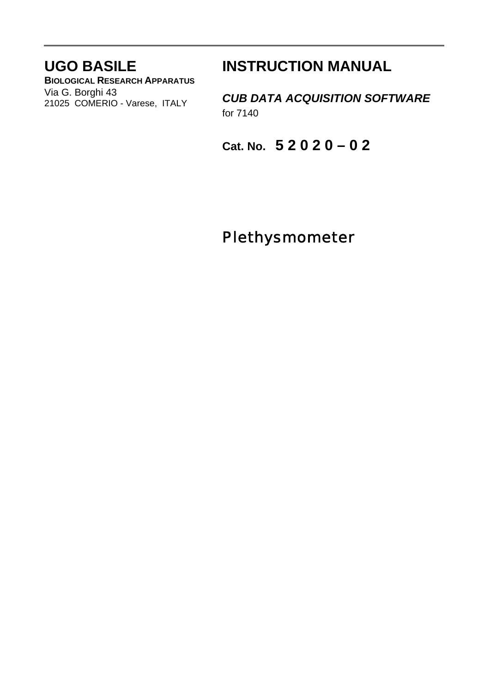# **UGO BASILE**

**BIOLOGICAL RESEARCH APPARATUS** Via G. Borghi 43<br>21025 COMERIO - Varese, ITALY

# **INSTRUCTION MANUAL**

**CUB DATA ACQUISITION SOFTWARE** for 7140

**Cat. No. 5 2 0 2 0 – 0 2**

# Plethysmometer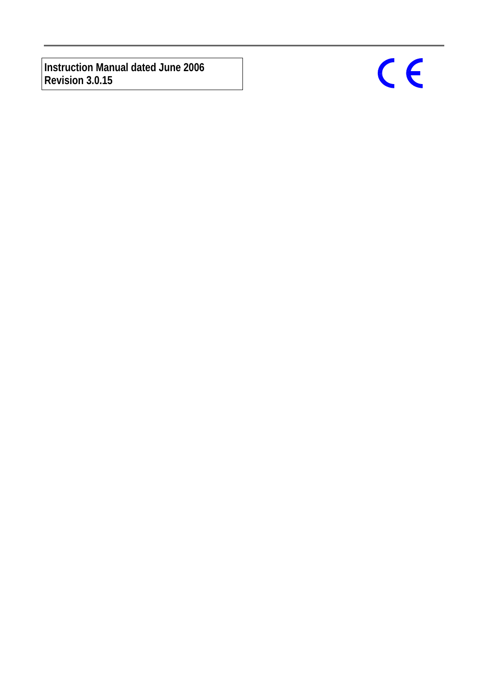**Instruction Manual dated June 2006 Revision 3.0.15** 

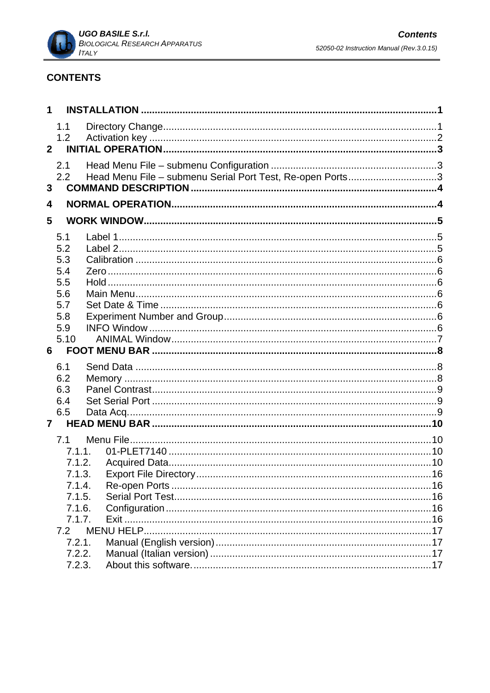

## **CONTENTS**

| 1              |                  |                                                           |  |
|----------------|------------------|-----------------------------------------------------------|--|
|                | 1.1              |                                                           |  |
|                | 1.2              |                                                           |  |
| $\overline{2}$ |                  |                                                           |  |
|                | 2.1              |                                                           |  |
| $\mathbf{3}$   | 2.2              | Head Menu File - submenu Serial Port Test, Re-open Ports3 |  |
|                |                  |                                                           |  |
| 4              |                  |                                                           |  |
| 5              |                  |                                                           |  |
|                | 5.1              |                                                           |  |
|                | 5.2              |                                                           |  |
|                | 5.3              |                                                           |  |
|                | 5.4              |                                                           |  |
|                | 5.5<br>5.6       |                                                           |  |
|                | 5.7              |                                                           |  |
|                | 5.8              |                                                           |  |
|                | 5.9              |                                                           |  |
|                | 5.10             |                                                           |  |
| 6              |                  |                                                           |  |
|                | 6.1              |                                                           |  |
|                | 6.2              |                                                           |  |
|                | 6.3<br>6.4       |                                                           |  |
|                | 6.5              |                                                           |  |
| $\overline{7}$ |                  |                                                           |  |
|                | 7.1              |                                                           |  |
|                | 7.1.1.           |                                                           |  |
|                | 7.1.2.           |                                                           |  |
|                | 7.1.3.           |                                                           |  |
|                | 7.1.4.           |                                                           |  |
|                | 7.1.5.<br>7.1.6. |                                                           |  |
|                | 7.1.7.           |                                                           |  |
|                | 7.2              |                                                           |  |
|                | 7.2.1.           |                                                           |  |
|                | 7.2.2.           |                                                           |  |
|                | 7.2.3.           |                                                           |  |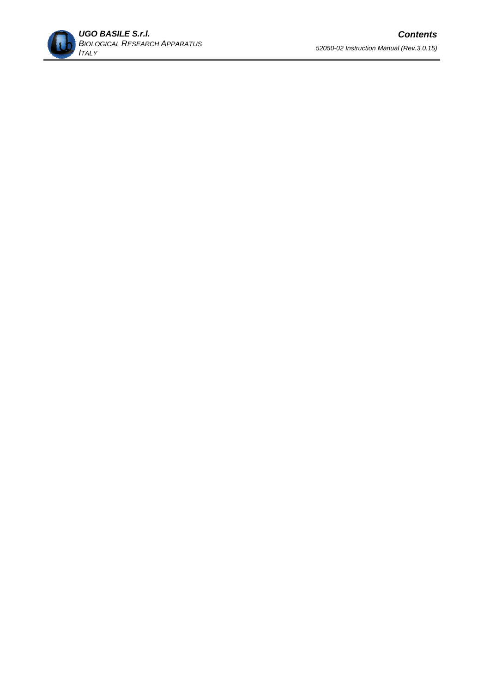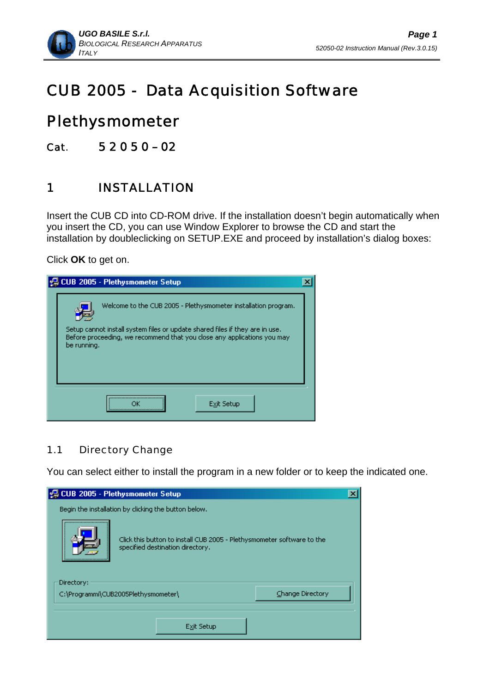<span id="page-6-0"></span>

# CUB 2005 - Data Acquisition Software

# Plethysmometer

Cat. 5 2 0 5 0 – 02

# 1 INSTALLATION

Insert the CUB CD into CD-ROM drive. If the installation doesn't begin automatically when you insert the CD, you can use Window Explorer to browse the CD and start the installation by doubleclicking on SETUP.EXE and proceed by installation's dialog boxes:

Click **OK** to get on.



## 1.1 Directory Change

You can select either to install the program in a new folder or to keep the indicated one.

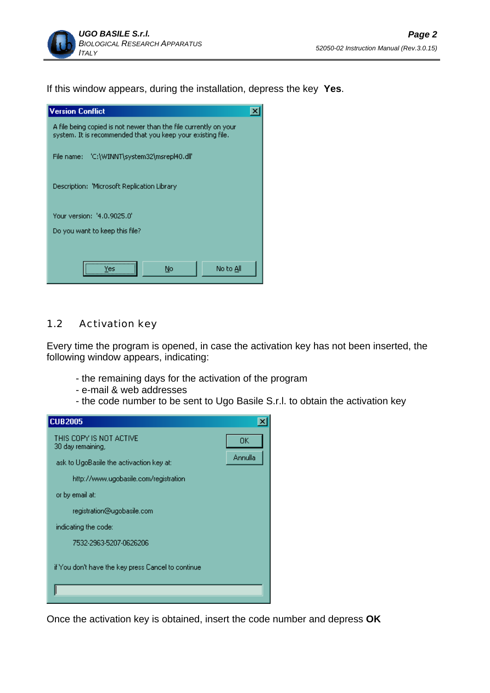<span id="page-7-0"></span>

If this window appears, during the installation, depress the key **Yes**.

| <b>Version Conflict</b>                                                                                                         |  |  |  |  |  |  |  |  |  |
|---------------------------------------------------------------------------------------------------------------------------------|--|--|--|--|--|--|--|--|--|
| A file being copied is not newer than the file currently on your<br>system. It is recommended that you keep your existing file. |  |  |  |  |  |  |  |  |  |
| 'C:\WINNT\system32\msrepl40.dll'<br>File name:                                                                                  |  |  |  |  |  |  |  |  |  |
| Description: 'Microsoft Replication Library                                                                                     |  |  |  |  |  |  |  |  |  |
| Your version: '4.0.9025.0'                                                                                                      |  |  |  |  |  |  |  |  |  |
| Do you want to keep this file?                                                                                                  |  |  |  |  |  |  |  |  |  |
| No to All<br>No<br>Yes                                                                                                          |  |  |  |  |  |  |  |  |  |

## 1.2 Activation key

Every time the program is opened, in case the activation key has not been inserted, the following window appears, indicating:

- the remaining days for the activation of the program
- e-mail & web addresses
- the code number to be sent to Ugo Basile S.r.l. to obtain the activation key



Once the activation key is obtained, insert the code number and depress **OK**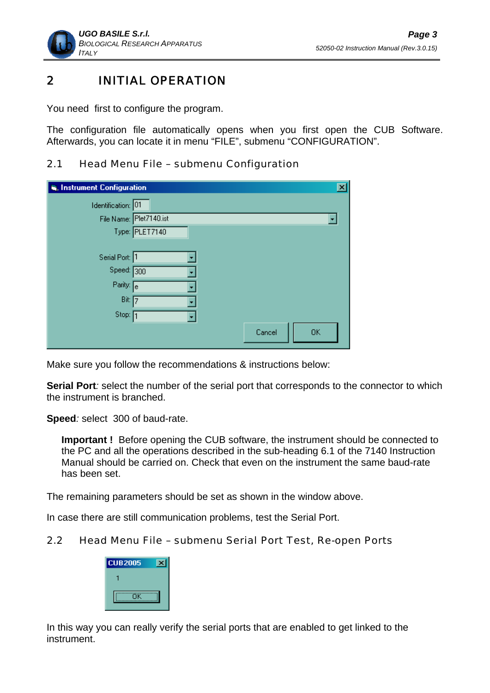<span id="page-8-0"></span>

# 2 INITIAL OPERATION

You need first to configure the program.

The configuration file automatically opens when you first open the CUB Software. Afterwards, you can locate it in menu "FILE", submenu "CONFIGURATION".

#### 2.1 Head Menu File – submenu Configuration

| <b>S. Instrument Configuration</b> |                         | 図 |
|------------------------------------|-------------------------|---|
| Identification: 01                 |                         |   |
|                                    | File Name: Plet7140.ist |   |
|                                    | Type: PLET7140          |   |
|                                    |                         |   |
| Serial Port: 1                     |                         |   |
| Speed: 300                         |                         |   |
| Parity: e                          |                         |   |
| Bit: $\sqrt{7}$                    |                         |   |
| Stop: 1                            |                         |   |
|                                    | <b>OK</b><br>Cancel     |   |

Make sure you follow the recommendations & instructions below:

**Serial Port***:* select the number of the serial port that corresponds to the connector to which the instrument is branched.

**Speed***:* select 300 of baud-rate.

**Important !** Before opening the CUB software, the instrument should be connected to the PC and all the operations described in the sub-heading 6.1 of the 7140 Instruction Manual should be carried on. Check that even on the instrument the same baud-rate has been set.

The remaining parameters should be set as shown in the window above.

In case there are still communication problems, test the Serial Port.

#### 2.2 Head Menu File – submenu Serial Port Test, Re-open Ports

| <b>CUB2005</b> |  |
|----------------|--|
|                |  |
| ΠÏ             |  |

In this way you can really verify the serial ports that are enabled to get linked to the instrument.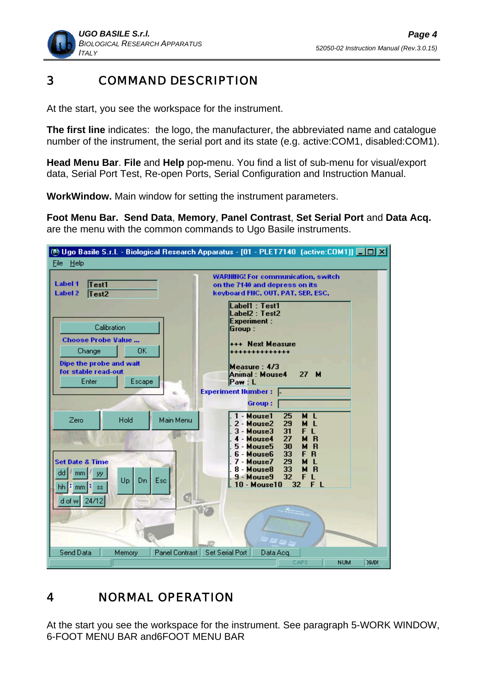<span id="page-9-0"></span>

# 3 COMMAND DESCRIPTION

At the start, you see the workspace for the instrument.

**The first line** indicates: the logo, the manufacturer, the abbreviated name and catalogue number of the instrument, the serial port and its state (e.g. active:COM1, disabled:COM1).

**Head Menu Bar**. **File** and **Help** pop**-**menu. You find a list of sub-menu for visual/export data, Serial Port Test, Re-open Ports, Serial Configuration and Instruction Manual.

**WorkWindow.** Main window for setting the instrument parameters.

**Foot Menu Bar. Send Data**, **Memory**, **Panel Contrast**, **Set Serial Port** and **Data Acq.** are the menu with the common commands to Ugo Basile instruments.



# 4 NORMAL OPERATION

At the start you see the workspace for the instrument. See paragraph [5-WORK WINDOW,](#page-10-1) [6-FOOT MENU BAR](#page-13-1) and[6FOOT MENU BAR](#page-13-1)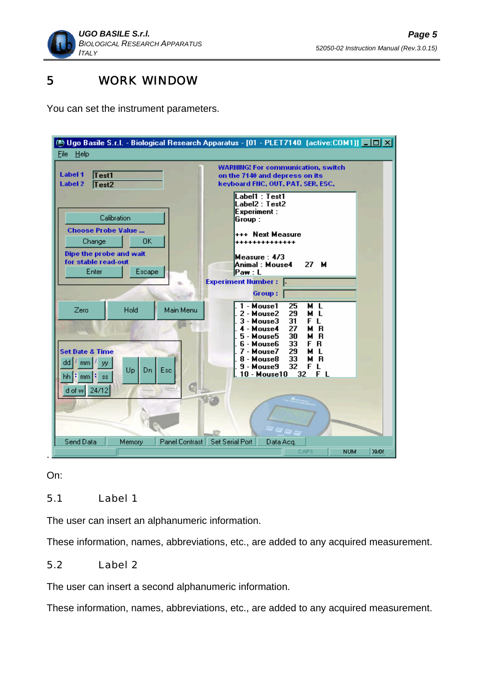<span id="page-10-0"></span>

# <span id="page-10-1"></span>5 WORK WINDOW

You can set the instrument parameters.



On:

#### 5.1 Label 1

The user can insert an alphanumeric information.

These information, names, abbreviations, etc., are added to any acquired measurement.

#### 5.2 Label 2

The user can insert a second alphanumeric information.

These information, names, abbreviations, etc., are added to any acquired measurement.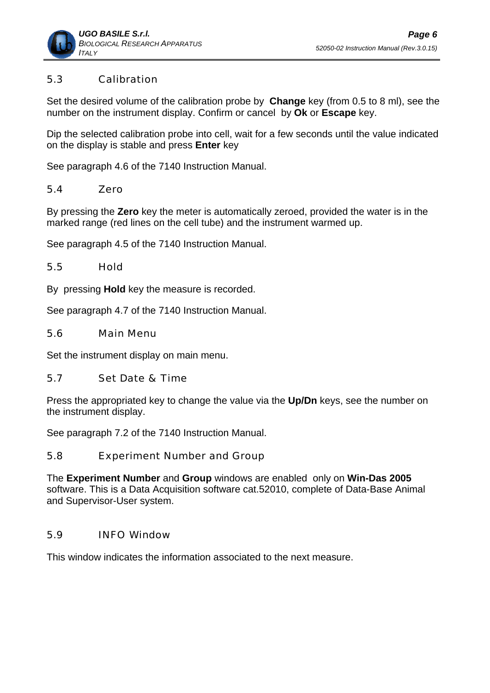<span id="page-11-0"></span>

## 5.3 Calibration

Set the desired volume of the calibration probe by **Change** key (from 0.5 to 8 ml), see the number on the instrument display. Confirm or cancel by **Ok** or **Escape** key.

Dip the selected calibration probe into cell, wait for a few seconds until the value indicated on the display is stable and press **Enter** key

See paragraph 4.6 of the 7140 Instruction Manual.

#### 5.4 Zero

By pressing the **Zero** key the meter is automatically zeroed, provided the water is in the marked range (red lines on the cell tube) and the instrument warmed up.

See paragraph 4.5 of the 7140 Instruction Manual.

#### 5.5 Hold

By pressing **Hold** key the measure is recorded.

See paragraph 4.7 of the 7140 Instruction Manual.

#### 5.6 Main Menu

Set the instrument display on main menu.

#### 5.7 Set Date & Time

Press the appropriated key to change the value via the **Up/Dn** keys, see the number on the instrument display.

See paragraph 7.2 of the 7140 Instruction Manual.

#### 5.8 Experiment Number and Group

The **Experiment Number** and **Group** windows are enabled only on **Win-Das 2005**  software. This is a Data Acquisition software cat.52010, complete of Data-Base Animal and Supervisor-User system.

#### 5.9 INFO Window

This window indicates the information associated to the next measure.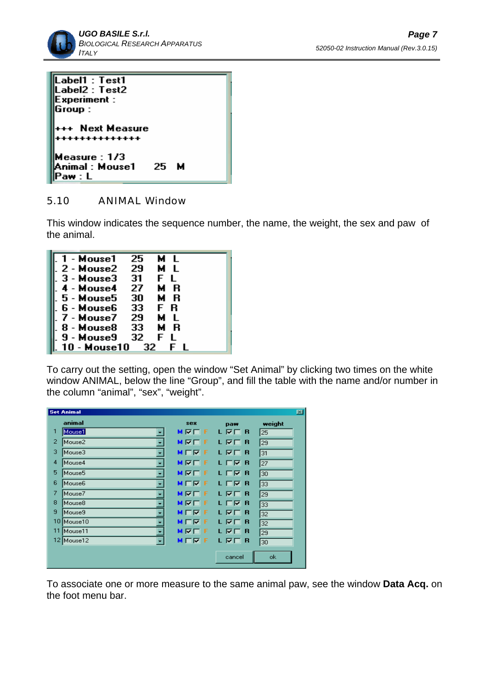<span id="page-12-0"></span>

| Label1: Test1<br>Label2 : Test2<br>Experiment :<br>Group : |    |   |  |
|------------------------------------------------------------|----|---|--|
| +++ Next Measure<br>,,,,,,,,,,,,,                          |    |   |  |
| Measure : 1/3<br>Animal : Mouse1<br>'aw - L                | 25 | м |  |

#### <span id="page-12-1"></span>5.10 ANIMAL Window

This window indicates the sequence number, the name, the weight, the sex and paw of the animal.

| 1 - Mouse1   | 25 | м      |  |
|--------------|----|--------|--|
| 2 - Mouse2   | 29 | н<br>L |  |
| $3 - Mouse3$ | 31 |        |  |
| 4 - Mouse4   | 27 | R<br>м |  |
| 5 - Mouse5   | 30 | м<br>R |  |
| 6 - Mouse6   | 33 | R<br>F |  |
| 7 - Mouse7   | 29 | м<br>L |  |
| 8 - Mouse8   | 33 | м<br>R |  |
| 9 - Mouse9   | 32 | F      |  |
| 0 - Mouse10  | 32 |        |  |
|              |    |        |  |

To carry out the setting, open the window "Set Animal" by clicking two times on the white window ANIMAL, below the line "Group", and fill the table with the name and/or number in the column "animal", "sex", "weight".

| <b>Set Animal</b><br>図 |                     |                   |                |                 |  |  |  |  |  |
|------------------------|---------------------|-------------------|----------------|-----------------|--|--|--|--|--|
|                        | animal              | sex               | <b>paw</b>     | weight          |  |  |  |  |  |
| 1                      | Mouse1              | MMM               | L <b>⊽</b> ⊏ B | 25              |  |  |  |  |  |
| $\overline{2}$         | Mouse2              | MMMF              | L <b>⊽</b> ⊏ R | 29              |  |  |  |  |  |
| 3                      | Mouse3              | $M \Box \nabla F$ | L <b>⊽</b> ⊏ B | 31              |  |  |  |  |  |
| 4                      | Mouse4              | MMMF              | L ⊏I⊽ B        | $\overline{27}$ |  |  |  |  |  |
| 5                      | Mouse5              | MMMF              | L ⊟⊽ B         | 30              |  |  |  |  |  |
| 6                      | Mouse6              | $M \Box \nabla F$ | L ⊟⊠ B         | 33              |  |  |  |  |  |
| 7                      | Mouse7              | MELF              | L ⊽⊓ R         | $\sqrt{29}$     |  |  |  |  |  |
| 8                      | Mouse8              | MMMF              | L ⊏I⊽ B        | 33              |  |  |  |  |  |
| 9                      | Mouse9              | $M \Box \nabla F$ | L ⊽⊟ B         | 32              |  |  |  |  |  |
| 10                     | Mouse10             | M ⊟⊠ F            | L <b>⊽</b> ⊏ R | 32              |  |  |  |  |  |
| 11                     | Mouse <sub>11</sub> | MMMF              | L 反□ B         | 29              |  |  |  |  |  |
|                        | 12 Mouse12          | $M \Box \nabla F$ | L <b>⊽</b> ⊟ R | 30              |  |  |  |  |  |
|                        |                     |                   | cancel         | ok              |  |  |  |  |  |

To associate one or more measure to the same animal paw, see the window **Data Acq.** on the foot menu bar.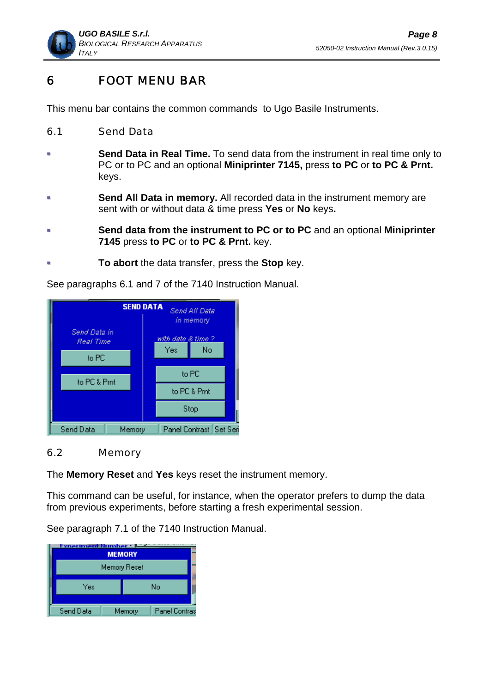<span id="page-13-0"></span>

# <span id="page-13-1"></span>6 FOOT MENU BAR

This menu bar contains the common commands to Ugo Basile Instruments.

#### 6.1 Send Data

- **Send Data in Real Time.** To send data from the instrument in real time only to PC or to PC and an optional **Miniprinter 7145,** press **to PC** or **to PC & Prnt.**  keys.
- **Send All Data in memory.** All recorded data in the instrument memory are sent with or without data & time press **Yes** or **No** keys**.**
- **Send data from the instrument to PC or to PC** and an optional **Miniprinter 7145** press **to PC** or **to PC & Prnt.** key.
- **To abort** the data transfer, press the **Stop** key.

See paragraphs 6.1 and 7 of the 7140 Instruction Manual.



#### 6.2 Memory

The **Memory Reset** and **Yes** keys reset the instrument memory.

This command can be useful, for instance, when the operator prefers to dump the data from previous experiments, before starting a fresh experimental session.

See paragraph 7.1 of the 7140 Instruction Manual.

| <b>Experiment Humber • ILLEL</b> | <b>MEMORY</b>                  |  |  |  |  |  |  |  |
|----------------------------------|--------------------------------|--|--|--|--|--|--|--|
| Memory Reset                     |                                |  |  |  |  |  |  |  |
| Yes                              | No                             |  |  |  |  |  |  |  |
| Send Data                        | <b>Panel Contras</b><br>Memory |  |  |  |  |  |  |  |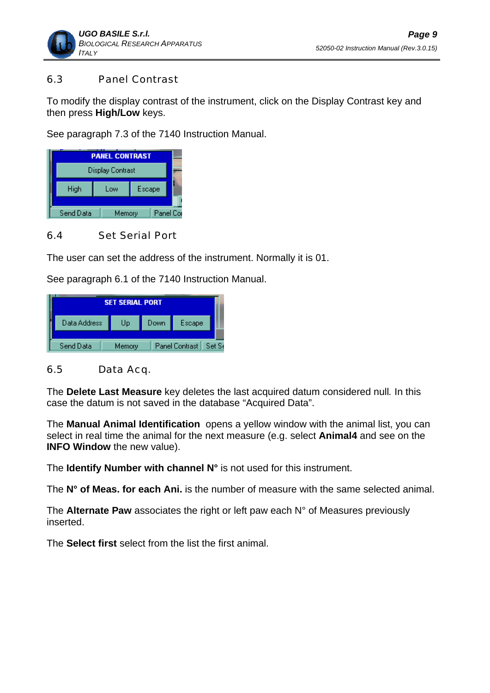<span id="page-14-0"></span>

## 6.3 Panel Contrast

To modify the display contrast of the instrument, click on the Display Contrast key and then press **High/Low** keys.

See paragraph 7.3 of the 7140 Instruction Manual.

| <b>PANEL CONTRAST</b> |        |                     |  |  |  |  |  |  |  |
|-----------------------|--------|---------------------|--|--|--|--|--|--|--|
| Display Contrast      |        |                     |  |  |  |  |  |  |  |
| Low                   | Escape |                     |  |  |  |  |  |  |  |
| Send Data             |        |                     |  |  |  |  |  |  |  |
|                       |        | Panel Cor<br>Memory |  |  |  |  |  |  |  |

#### 6.4 Set Serial Port

The user can set the address of the instrument. Normally it is 01.

See paragraph 6.1 of the 7140 Instruction Manual.



#### 6.5 Data Acq.

The **Delete Last Measure** key deletes the last acquired datum considered null*.* In this case the datum is not saved in the database "Acquired Data".

The **Manual Animal Identification** opens a yellow window with the animal list, you can select in real time the animal for the next measure (e.g. select **Animal4** and see on the **INFO Window** the new value).

The **Identify Number with channel N°** is not used for this instrument.

The **N° of Meas. for each Ani.** is the number of measure with the same selected animal.

The **Alternate Paw** associates the right or left paw each N° of Measures previously inserted.

The **Select first** select from the list the first animal.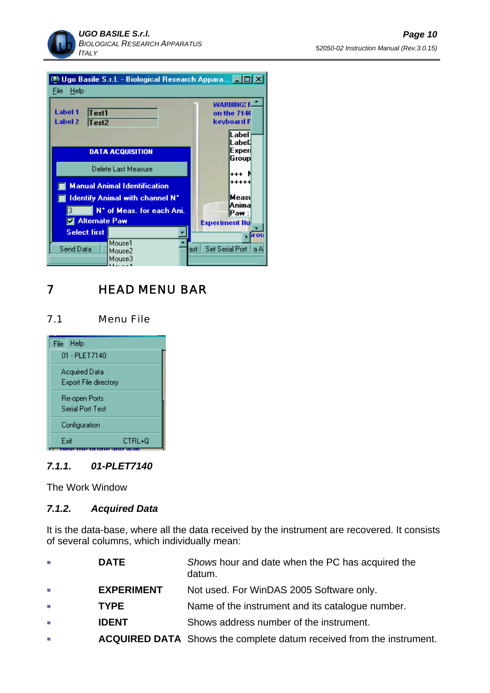<span id="page-15-0"></span>



# 7 HEAD MENU BAR

## 7.1 Menu File



### *7.1.1. 01-PLET7140*

The Work Window

#### *7.1.2. Acquired Data*

It is the data-base, where all the data received by the instrument are recovered. It consists of several columns, which individually mean:

- **BATE DATE** Shows hour and date when the PC has acquired the datum.
- **EXPERIMENT** Not used. For WinDAS 2005 Software only.
- **TYPE** Name of the instrument and its catalogue number.
- **IDENT** Shows address number of the instrument.
- **ACQUIRED DATA** Shows the complete datum received from the instrument.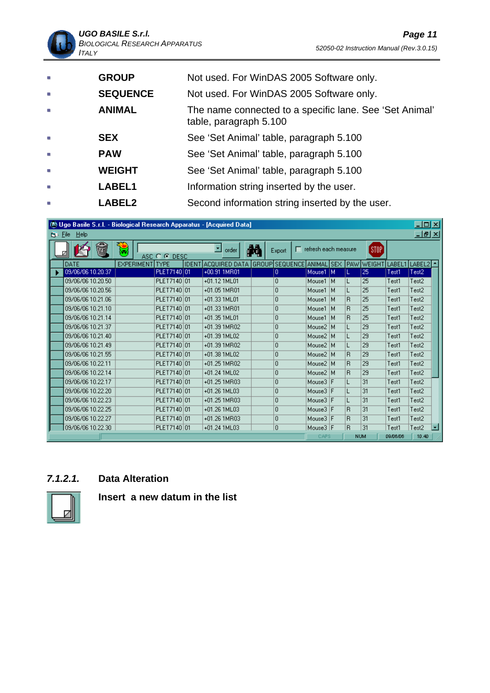| $\Box$         | <b>GROUP</b>    | Not used. For WinDAS 2005 Software only.                                          |
|----------------|-----------------|-----------------------------------------------------------------------------------|
| <b>D</b>       | <b>SEQUENCE</b> | Not used. For WinDAS 2005 Software only.                                          |
| $\mathbf{u}$   | <b>ANIMAL</b>   | The name connected to a specific lane. See 'Set Animal'<br>table, paragraph 5.100 |
| $\sim$         | <b>SEX</b>      | See 'Set Animal' table, paragraph 5.100                                           |
| $\blacksquare$ | <b>PAW</b>      | See 'Set Animal' table, paragraph 5.100                                           |
| ×              | <b>WEIGHT</b>   | See 'Set Animal' table, paragraph 5.100                                           |
| $\blacksquare$ | <b>LABEL1</b>   | Information string inserted by the user.                                          |
| $\Box$         | <b>LABEL2</b>   | Second information string inserted by the user.                                   |

|               | <u>- 미지</u><br>(b) Ugo Basile S.r.l. - Biological Research Apparatus - [Acquired Data] |                 |              |  |              |                                                          |   |                |   |                       |   |        |        |                            |
|---------------|----------------------------------------------------------------------------------------|-----------------|--------------|--|--------------|----------------------------------------------------------|---|----------------|---|-----------------------|---|--------|--------|----------------------------|
| <b>B</b> Elle | Help                                                                                   |                 |              |  |              |                                                          |   |                |   |                       |   |        |        | 그리지                        |
|               | Ŵ.                                                                                     | E               | ASC O G DESC |  | ◾            | order                                                    | М | Export         | П | refresh each measure  |   | [STOP] |        |                            |
|               | DATE                                                                                   | EXPERIMENT TYPE |              |  |              | IDENT ACQUIRED DATA GROUP SEQUENCE ANIMAL SEX PAW WEIGHT |   |                |   |                       |   |        | LABEL1 | LABEL2 $\boxed{\triangle}$ |
|               | 09/06/06 10.20.37                                                                      |                 | PLET7140 01  |  | +00.91 1MR01 |                                                          |   | 0              |   | Mouse1   M            |   | 25     | Test1  | Test2                      |
|               | 09/06/06 10.20.50                                                                      |                 | PLET7140 01  |  | +01.12 1ML01 |                                                          |   | 0              |   | Mouse1  M             |   | 25     | Test1  | Test2                      |
|               | 09/06/06 10.20.56                                                                      |                 | PLET7140 01  |  | +01.05 1MR01 |                                                          |   | 0              |   | Mouse1  M             |   | 25     | Test1  | Test2                      |
|               | 09/06/06 10.21.06                                                                      |                 | PLET7140 01  |  | +01.33 1ML01 |                                                          |   | $\overline{0}$ |   | Mouse1  M             | R | 25     | Test1  | Test2                      |
|               | 09/06/06 10.21.10                                                                      |                 | PLET7140 01  |  | +01.33 1MR01 |                                                          |   | 0              |   | Mouse1  M             | R | 25     | Test1  | Test2                      |
|               | 09/06/06 10.21.14                                                                      |                 | PLET7140 01  |  | +01.35 1ML01 |                                                          |   | 0              |   | Mouse1  M             | R | 25     | Test1  | Test2                      |
|               | 09/06/06 10.21.37                                                                      |                 | PLET7140 01  |  |              | +01.39 1MR02                                             |   | $\Omega$       |   | Mouse2   M            |   | 29     | Test1  | Test2                      |
|               | 09/06/06 10.21.40                                                                      |                 | PLET7140 01  |  | +01.39 1ML02 |                                                          |   | 0              |   | Mouse2   M            |   | 29     | Test1  | Test2                      |
|               | 09/06/06 10.21.49                                                                      |                 | PLET7140 01  |  |              | +01.39 1MR02                                             |   | 0              |   | Mouse2 <sup>M</sup>   |   | 29     | Test1  | Test2                      |
|               | 09/06/06 10.21.55                                                                      |                 | PLET7140 01  |  | +01.38 1ML02 |                                                          |   | $\Omega$       |   | Mouse2 M              | R | 29     | Test1  | Test2                      |
|               | 09/06/06 10.22.11                                                                      |                 | PLET7140 01  |  |              | +01.25 1MR02                                             |   | 0              |   | Mouse2   M            | R | 29     | Test1  | Test2                      |
|               | 09/06/06 10.22.14                                                                      |                 | PLET7140 01  |  | +01.24 1ML02 |                                                          |   | $\Omega$       |   | Mouse2 M              | R | 29     | Test1  | Test2                      |
|               | 09/06/06 10.22.17                                                                      |                 | PLET7140 01  |  |              | +01.25 1MR03                                             |   | 0              |   | Mouse3 <sup>IF</sup>  |   | 31     | Test1  | Test2                      |
|               | 09/06/06 10.22.20                                                                      |                 | PLET7140 01  |  | +01.26 1ML03 |                                                          |   | $\Omega$       |   | Mouse3 <sup>IF</sup>  |   | 31     | Test1  | Test2                      |
|               | 09/06/06 10.22.23                                                                      |                 | PLET7140 01  |  |              | +01.25 1MR03                                             |   | $\Omega$       |   | Mouse3 <sup></sup> IF |   | 31     | Test1  | Test2                      |
|               | 09/06/06 10.22.25                                                                      |                 | PLET7140 01  |  | +01.26 1ML03 |                                                          |   | 0              |   | Mouse3 <sup>IF</sup>  | R | 31     | Test1  | Test2                      |
|               | 09/06/06 10.22.27                                                                      |                 | PLET7140 01  |  |              | +01.26 1MR03                                             |   | 0              |   | Mouse3 <sup>IF</sup>  | R | 31     | Test1  | Test2                      |
|               | 09/06/06 10.22.30                                                                      |                 | PLET7140 01  |  | +01.24 1ML03 |                                                          |   | $\Omega$       |   | Mouse3 IF             | R | 31     | Test1  | ы<br>Test2                 |
|               | <b>CAPS</b><br><b>NUM</b><br>09/06/06<br>10.40                                         |                 |              |  |              |                                                          |   |                |   |                       |   |        |        |                            |

#### *7.1.2.1.* **Data Alteration**



**Insert a new datum in the list**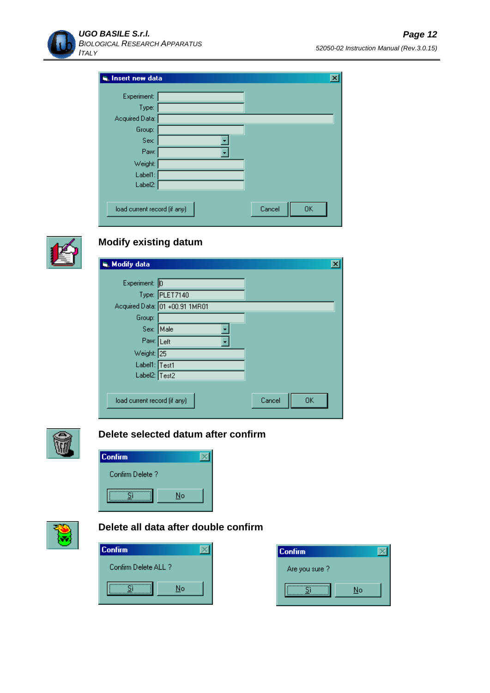

| insert new data              | $\overline{\mathsf{x}}$ |
|------------------------------|-------------------------|
|                              |                         |
| Experiment:                  |                         |
| Type:                        |                         |
| Acquired Data:               |                         |
| Group:                       |                         |
| Sex:                         |                         |
| Paw:                         |                         |
| Weight:                      |                         |
| Label1:                      |                         |
| Label2:                      |                         |
|                              |                         |
| load current record (if any) | 0K<br>Cancel            |



# **Modify existing datum**

| , Modify data                |                                | $\overline{\mathbf{x}}$ |
|------------------------------|--------------------------------|-------------------------|
|                              |                                |                         |
| Experiment: 0                |                                |                         |
|                              | Type: PLET7140                 |                         |
|                              | Acquired Data: 01 +00.91 1MR01 |                         |
| Group:                       |                                |                         |
|                              | Sex: Male                      |                         |
| Paw: Left                    |                                |                         |
| Weight: 25                   |                                |                         |
| Label1: Test1                |                                |                         |
| Label2: Test2                |                                |                         |
|                              |                                |                         |
| load current record (if any) |                                | <b>OK</b><br>Cancel     |



#### **Delete selected datum after confirm**





#### **Delete all data after double confirm**



| <b>Confirm</b> |    |  |
|----------------|----|--|
| Are you sure?  |    |  |
|                | No |  |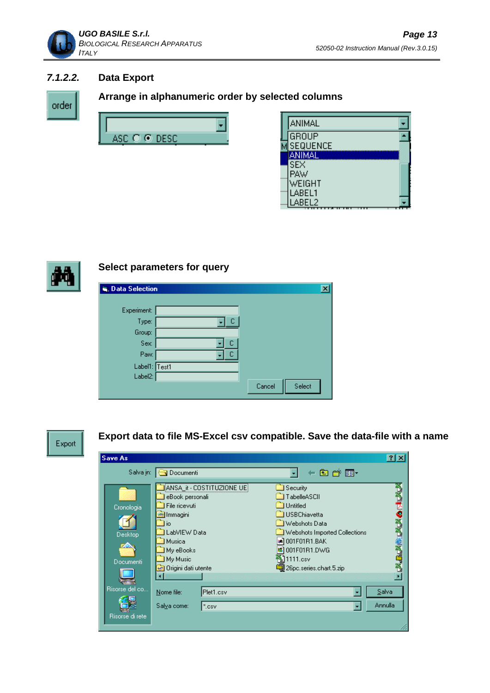

### *7.1.2.2.* **Data Export**





| <b>ANIMAL</b>      |  |
|--------------------|--|
| GROUP              |  |
| SEQUENCE           |  |
| ANIMAL             |  |
| SEX                |  |
| PAW                |  |
| WEIGHT             |  |
| LABEL1             |  |
| LABEL <sub>2</sub> |  |



## **Select parameters for query**

| , Data Selection |   | $\overline{\mathbf{x}}$ |
|------------------|---|-------------------------|
|                  |   |                         |
| Experiment:      |   |                         |
| Type:            | с |                         |
| Group:           |   |                         |
| Sex:             | c |                         |
| Paw:             |   |                         |
| Label1: Test1    |   |                         |
| Label2:          |   |                         |
|                  |   | Select<br>Cancel        |
|                  |   |                         |

Export

#### **Export data to file MS-Excel csv compatible. Save the data-file with a name**

| Save As                                   |                                                                                                                                      |                            |                                                                                                                                                                                                      | 2 X              |
|-------------------------------------------|--------------------------------------------------------------------------------------------------------------------------------------|----------------------------|------------------------------------------------------------------------------------------------------------------------------------------------------------------------------------------------------|------------------|
| Salva jn:                                 | Documenti                                                                                                                            |                            | ← 图 命 图 →                                                                                                                                                                                            |                  |
| Cronologia<br>Desktop<br>zo.<br>Documenti | eBook personali<br>File ricevuti<br>Immagini<br>l io<br>LabVIEW Data<br>Musica<br>My eBooks<br>My Music<br>Origini dati utente<br>59 | ∭ANSA_it - COSTITUZIONE UE | Security<br>TabelleASCII<br>Untitled<br>USBChiavetta<br>Webshots Data<br><b>Webshots Imported Collections</b><br><b>an</b> 001F01R1.BAK<br>略 001F01R1.DWG<br>$11111$ .csv<br>26pc.series.chart.5.zip | <b>LAARA</b>     |
| Risorse del co                            | Nome file:<br>Sal <u>v</u> a come:                                                                                                   | Plet1.csv<br>".csv         |                                                                                                                                                                                                      | Salva<br>Annulla |
| Risorse di rete                           |                                                                                                                                      |                            |                                                                                                                                                                                                      |                  |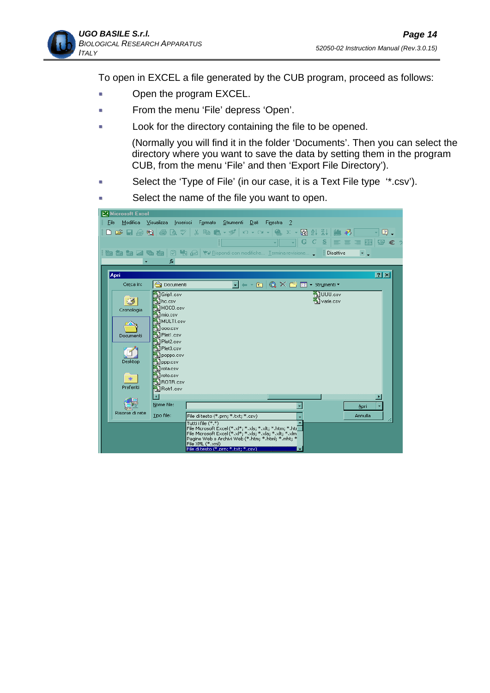

To open in EXCEL a file generated by the CUB program, proceed as follows:

- **Open the program EXCEL.**
- **From the menu 'File' depress 'Open'.**
- **Look for the directory containing the file to be opened.**

(Normally you will find it in the folder 'Documents'. Then you can select the directory where you want to save the data by setting them in the program CUB, from the menu 'File' and then 'Export File Directory').

- Select the 'Type of File' (in our case, it is a Text File type ".csv").
- Select the name of the file you want to open.

| <b>N</b> Microsoft Excel       |                                                                                                                                                                                                                                    |                                                                                                                                                                  |                           |
|--------------------------------|------------------------------------------------------------------------------------------------------------------------------------------------------------------------------------------------------------------------------------|------------------------------------------------------------------------------------------------------------------------------------------------------------------|---------------------------|
| File:                          | Modifica Visualizza Inserisci Formato Strumenti Dati Finestra                                                                                                                                                                      | $\frac{2}{2}$                                                                                                                                                    |                           |
|                                |                                                                                                                                                                                                                                    |                                                                                                                                                                  | - 8 -                     |
|                                |                                                                                                                                                                                                                                    | न। $\mathbf{G} \cdot \mathbf{C}$                                                                                                                                 | S│  言言  言  国  图 € ?       |
|                                | <b>in the time of the convention of the convention of the convention of the convention of the convention of the convention of the convention of the convention of the convention of the convention of the convention of the co</b> |                                                                                                                                                                  |                           |
| $f_{\mathbf{x}}$               |                                                                                                                                                                                                                                    |                                                                                                                                                                  |                           |
|                                |                                                                                                                                                                                                                                    |                                                                                                                                                                  |                           |
| <b>Apri</b>                    |                                                                                                                                                                                                                                    |                                                                                                                                                                  | 7x                        |
| Cerca in:<br>Documenti         |                                                                                                                                                                                                                                    | $\boxed{\blacksquare} \leftarrow \blacksquare \blacksquare \otimes \times \blacksquare$ For $\blacksquare$ $\blacktriangleright$ Strumenti $\blacktriangleright$ |                           |
| Sd Grip1.csv<br>63<br>alhc.csv |                                                                                                                                                                                                                                    |                                                                                                                                                                  | SIUUU.csv<br>s) varie.csv |
| SHOCO.csv<br>Cronologia        |                                                                                                                                                                                                                                    |                                                                                                                                                                  |                           |
| <b>M</b> Inio.csv              |                                                                                                                                                                                                                                    |                                                                                                                                                                  |                           |
| <b>MULTI.csv</b><br>Slooo.csv  |                                                                                                                                                                                                                                    |                                                                                                                                                                  |                           |
| Plet1.csv<br>Documenti         |                                                                                                                                                                                                                                    |                                                                                                                                                                  |                           |
| Plet2.csv                      |                                                                                                                                                                                                                                    |                                                                                                                                                                  |                           |
| SPlet3.csv<br>alpoppo.csv      |                                                                                                                                                                                                                                    |                                                                                                                                                                  |                           |
| Desktop<br>Sippp.csv           |                                                                                                                                                                                                                                    |                                                                                                                                                                  |                           |
| dicta.csv<br>sloto.csv         |                                                                                                                                                                                                                                    |                                                                                                                                                                  |                           |
| ₩<br>SIROTR.csv                |                                                                                                                                                                                                                                    |                                                                                                                                                                  |                           |
| Preferiti<br>BiRotr1.csv       |                                                                                                                                                                                                                                    |                                                                                                                                                                  |                           |
|                                |                                                                                                                                                                                                                                    |                                                                                                                                                                  |                           |
| Nome file:<br>Risorse di rete  |                                                                                                                                                                                                                                    |                                                                                                                                                                  | Apri                      |
| Tipo file:                     | File di testo (*.prn; *.txt; *.csv)                                                                                                                                                                                                |                                                                                                                                                                  | Annulla                   |
|                                | Tutti i file (*.*)<br>File Microsoft Excel (*.xl*; *.xls; *.xlt; *.htm; *.htr <mark>i</mark><br>File Microsoft Excel (*.xl*; *.xls; *.xla; *.xlt; *.xlm                                                                            |                                                                                                                                                                  |                           |
|                                | Pagine Web e Archivi Web (*.htm; *.html; *.mht; *                                                                                                                                                                                  |                                                                                                                                                                  |                           |
|                                | File XML (*.xml)<br>File di testo (*.prn; *.txt; *.csv)                                                                                                                                                                            |                                                                                                                                                                  |                           |
|                                |                                                                                                                                                                                                                                    |                                                                                                                                                                  |                           |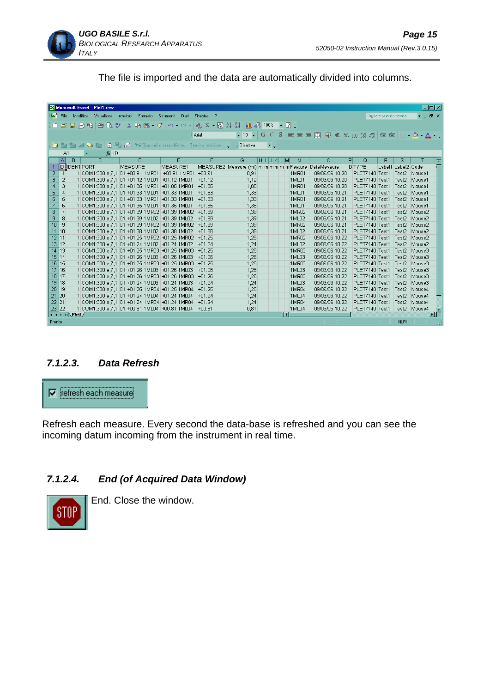

The file is imported and the data are automatically divided into columns.

| $\Box$ D $\Box$<br><b>E</b> Microsoft Excel - Plet1.csv |                                                                                                                                                                                                                                                                                                                                                                                                                                                                                                                |                     |                                                      |          |            |      |        |             |                                                       |                |                             |                            |
|---------------------------------------------------------|----------------------------------------------------------------------------------------------------------------------------------------------------------------------------------------------------------------------------------------------------------------------------------------------------------------------------------------------------------------------------------------------------------------------------------------------------------------------------------------------------------------|---------------------|------------------------------------------------------|----------|------------|------|--------|-------------|-------------------------------------------------------|----------------|-----------------------------|----------------------------|
| $\boxed{2}$ Eile                                        |                                                                                                                                                                                                                                                                                                                                                                                                                                                                                                                | Modifica Visualizza | Inserisci<br>Formato Strumenti                       | Dati     | Finestra ? |      |        |             |                                                       |                | Digitare una domanda.       | $\cdot$ $ \theta$ $\times$ |
|                                                         | D B B B B B B V X B B · I r · α · B Σ · B A X U B 100% · Q .                                                                                                                                                                                                                                                                                                                                                                                                                                                   |                     |                                                      |          |            |      |        |             |                                                       |                |                             |                            |
|                                                         |                                                                                                                                                                                                                                                                                                                                                                                                                                                                                                                |                     |                                                      |          |            |      |        |             |                                                       |                |                             |                            |
|                                                         |                                                                                                                                                                                                                                                                                                                                                                                                                                                                                                                |                     |                                                      |          | Arial      |      |        |             |                                                       |                |                             |                            |
|                                                         | $\Box$ $\blacksquare$ $\Box$ $\blacksquare$ $\blacksquare$ $\blacksquare$ $\blacksquare$ $\blacksquare$ $\blacksquare$ $\blacksquare$ $\blacksquare$ $\blacksquare$ $\blacksquare$ $\blacksquare$ $\blacksquare$ $\blacksquare$ $\blacksquare$ $\blacksquare$ $\blacksquare$ $\blacksquare$ $\blacksquare$ $\blacksquare$ $\blacksquare$ $\blacksquare$ $\blacksquare$ $\blacksquare$ $\blacksquare$ $\blacksquare$ $\blacksquare$ $\blacksquare$ $\blacksquare$ $\blacksquare$<br>Disattiva<br>H.<br>福岡福岡国 臨湖 |                     |                                                      |          |            |      |        |             |                                                       |                |                             |                            |
|                                                         | $f_x$ ID<br>A1                                                                                                                                                                                                                                                                                                                                                                                                                                                                                                 |                     |                                                      |          |            |      |        |             |                                                       |                |                             |                            |
| $\overline{A}$                                          | B                                                                                                                                                                                                                                                                                                                                                                                                                                                                                                              | $\overline{C}$      | D                                                    | E        | F          | G.   | HIJKLM | N           | 0                                                     | Pl<br>Q        | s<br>R                      | ਜ਼                         |
| ℼ                                                       |                                                                                                                                                                                                                                                                                                                                                                                                                                                                                                                | <b>I</b> IDENT PORT | <b>MEASURE</b>                                       | MEASURE1 |            |      |        |             | MEASURE2 Measure (ml) m m m m m m Feature DateMeasure | D TYPE         | Label1 Label2 Code          |                            |
| $\overline{a}$                                          | 1                                                                                                                                                                                                                                                                                                                                                                                                                                                                                                              |                     | 1 COM1:300.e.7.1 01 +00.91 1MR01 +00.91 1MR01        |          | $+00.91$   | 0.91 |        | 1MR01       | 09/06/06 10.20                                        |                | PLET7140 Test1 Test2 Mouse1 |                            |
| $\overline{3}$                                          | $\overline{2}$                                                                                                                                                                                                                                                                                                                                                                                                                                                                                                 |                     | 1 COM1:300,e.7,1 01 +01.12 1ML01 +01.12 1ML01        |          | $+01.12$   | 1,12 |        | 1MLD1       | 09/06/06 10.20                                        |                | PLET7140 Test1 Test2 Mouse1 |                            |
| $\overline{4}$                                          | 3                                                                                                                                                                                                                                                                                                                                                                                                                                                                                                              |                     | 1 COM1:300.e.7.1 01 +01.05 1MR01 +01.05 1MR01        |          | $+01.05$   | 1.05 |        | 1MR01       | 09/06/06 10.20                                        | PLET7140 Test1 |                             | Test2 Mouse1               |
| $\overline{5}$                                          | $\overline{4}$                                                                                                                                                                                                                                                                                                                                                                                                                                                                                                 |                     | 1 COM1:300.e.7.1 01 +01.33 1ML01 +01.33 1ML01        |          | $+01.33$   | 1.33 |        | 1ML01       | 09/06/06 10.21                                        | PLET7140 Test1 | Test <sub>2</sub>           | Mouse1                     |
| $\overline{6}$                                          | 5                                                                                                                                                                                                                                                                                                                                                                                                                                                                                                              |                     | 1 COM1:300.e.7.1 01 +01.33 1MR01 +01.33 1MR01        |          | $+01.33$   | 1,33 |        | 1MR01       | 09/06/06 10.21                                        |                | PLET7140 Test1 Test2 Mouse1 |                            |
| $\overline{7}$                                          | 6                                                                                                                                                                                                                                                                                                                                                                                                                                                                                                              |                     | 1 COM1:300,e,7,1 01 +01.35 1ML01 +01.35 1ML01        |          | $+01.35$   | 1,35 |        | 1ML01       | 09/06/06 10.21                                        |                | PLET7140 Test1 Test2 Mouse1 |                            |
| 8                                                       | $\overline{7}$                                                                                                                                                                                                                                                                                                                                                                                                                                                                                                 |                     | 1 COM1:300,e.7,1 01 +01.39 1MR02 +01.39 1MR02        |          | $+01.39$   | 1,39 |        | 1MR02       | 09/06/06 10.21                                        |                | PLET7140 Test1 Test2        | Mouse2                     |
| $\overline{9}$                                          | 8                                                                                                                                                                                                                                                                                                                                                                                                                                                                                                              |                     | 1 COM1:300.e.7.1 01 +01.39 1ML02 +01.39 1ML02        |          | $+01.39$   | 1.39 |        | 1ML02       | 09/06/06 10.21                                        |                | PLET7140 Test1 Test2        | Mouse2                     |
| 10                                                      | 9                                                                                                                                                                                                                                                                                                                                                                                                                                                                                                              |                     | 1 COM1:300.e.7.1 01 +01.39 1MR02 +01.39 1MR02        |          | $+01.39$   | 1,39 |        | 1MR02       | 09/06/06 10.21                                        |                | PLET7140 Test1 Test2 Mouse2 |                            |
| 11<br>10                                                |                                                                                                                                                                                                                                                                                                                                                                                                                                                                                                                |                     | 1 COM1:300,e,7,1 01 +01.38 1ML02 +01.38 1ML02        |          | $+01.38$   | 1,38 |        | 1ML02       | 09/06/06 10.21                                        |                | PLET7140 Test1 Test2 Mouse2 |                            |
| 12 11                                                   |                                                                                                                                                                                                                                                                                                                                                                                                                                                                                                                |                     | 1 COM1:300.e.7.1 01 +01.25 1MR02 +01.25 1MR02 +01.25 |          |            | 1.25 |        | 1MR02       | 09/06/06 10.22                                        |                | PLET7140 Test1 Test2 Mouse2 |                            |
| 13 12                                                   |                                                                                                                                                                                                                                                                                                                                                                                                                                                                                                                |                     | 1 COM1:300.e.7.1 01 +01.24 1ML02 +01.24 1ML02        |          | $+01.24$   | 1.24 |        | 1ML02       | 09/06/06 10.22                                        |                | PLET7140 Test1 Test2        | Mouse2                     |
| 14 13                                                   |                                                                                                                                                                                                                                                                                                                                                                                                                                                                                                                |                     | 1 COM1:300.e.7.1 01 +01.25 1MR03 +01.25 1MR03 +01.25 |          |            | 1,25 |        | 1MR03       | 09/06/06 10.22                                        |                | PLET7140 Test1 Test2 Mouse3 |                            |
| 15 14                                                   |                                                                                                                                                                                                                                                                                                                                                                                                                                                                                                                |                     | 1 COM1:300.e.7.1 01 +01.26 1ML03 +01.26 1ML03        |          | $+01.26$   | 1,26 |        | 1ML03       | 09/06/06 10.22                                        | PLET7140 Test1 | Test2                       | Mouse3                     |
| 16 15                                                   |                                                                                                                                                                                                                                                                                                                                                                                                                                                                                                                |                     | 1 COM1:300,e.7,1 01 +01.25 1MR03 +01.25 1MR03        |          | $+01.25$   | 1,25 |        | 1MR03       | 09/06/06 10.22                                        | PLET7140 Test1 | Test <sub>2</sub>           | Mouse3                     |
| 17 16                                                   |                                                                                                                                                                                                                                                                                                                                                                                                                                                                                                                |                     | 1 COM1:300,e,7,1 01 +01.26 1ML03 +01.26 1ML03        |          | $+01.26$   | 1,26 |        | 1ML03       | 09/06/06 10.22                                        |                | PLET7140 Test1 Test2        | Mouse3                     |
| 18 17                                                   |                                                                                                                                                                                                                                                                                                                                                                                                                                                                                                                |                     | 1 COM1:300,e.7,1 01 +01.26 1MR03 +01.26 1MR03        |          | $+01.26$   | 1,26 |        | 1MR03       | 09/06/06 10.22                                        | PLET7140 Test1 |                             | Test2 Mouse3               |
| 19 18                                                   |                                                                                                                                                                                                                                                                                                                                                                                                                                                                                                                |                     | 1 COM1:300,e,7,1 01 +01.24 1ML03 +01.24 1ML03        |          | $+01.24$   | 1,24 |        | 1ML03       | 09/06/06 10.22                                        | PLET7140 Test1 |                             | Test2 Mouse3               |
| 20 19                                                   |                                                                                                                                                                                                                                                                                                                                                                                                                                                                                                                |                     | 1 COM1:300.e.7.1 01 +01.25 1MR04 +01.25 1MR04        |          | $+01.25$   | 1.25 |        | 1MR04       | 09/06/06 10.22                                        | PLET7140 Test1 | Test <sub>2</sub>           | Mouse4                     |
| $21$ 20                                                 |                                                                                                                                                                                                                                                                                                                                                                                                                                                                                                                |                     | 1 COM1:300,e,7,1 01 +01.24 1ML04 +01.24 1ML04        |          | $+01.24$   | 1,24 |        | 1ML04       | 09/06/06 10.22                                        | PLET7140 Test1 |                             | Test2 Mouse4               |
| 22 21                                                   |                                                                                                                                                                                                                                                                                                                                                                                                                                                                                                                |                     | 1 COM1:300,e,7,1 01 +01.24 1MR04 +01.24 1MR04 +01.24 |          |            | 1,24 |        | 1MR04       | 09/06/06 10.22                                        |                | PLET7140 Test1 Test2 Mouse4 |                            |
| 23 22                                                   | $H \rightarrow H \$ Plet1/                                                                                                                                                                                                                                                                                                                                                                                                                                                                                     |                     | 1 COM1:300.e.7.1 01 +00.81 1ML04 +00.81 1ML04 +00.81 |          |            | 0.81 |        | 1ML04<br>ान | 09/06/06 10.22                                        |                | PLET7140 Test1 Test2 Mouse4 | ना                         |
|                                                         |                                                                                                                                                                                                                                                                                                                                                                                                                                                                                                                |                     |                                                      |          |            |      |        |             |                                                       |                |                             |                            |
| Pronto                                                  |                                                                                                                                                                                                                                                                                                                                                                                                                                                                                                                |                     |                                                      |          |            |      |        |             |                                                       |                | <b>NUM</b>                  |                            |

#### *7.1.2.3. Data Refresh*

## $\nabla$  refresh each measure

Refresh each measure. Every second the data-base is refreshed and you can see the incoming datum incoming from the instrument in real time.

#### *7.1.2.4. End (of Acquired Data Window)*



End. Close the window.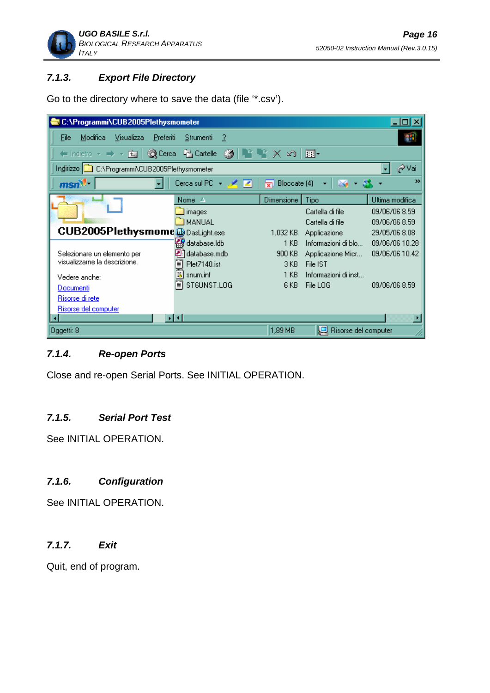<span id="page-21-0"></span>

## *7.1.3. Export File Directory*

| C:\Programmi\CUB2005Plethysmometer                       |                                                                                   |                   |                      | $  \_   \square   \times$ |
|----------------------------------------------------------|-----------------------------------------------------------------------------------|-------------------|----------------------|---------------------------|
| File<br>Modifica<br>Visualizza<br>Preferiti              | Strumenti<br>-?                                                                   |                   |                      |                           |
| ←Indiatro → → ・ 白   © Cerca 「凸 Cartelle  ③   『『 × ∞   囲- |                                                                                   |                   |                      |                           |
| Indirizzo C:\Programmi\CUB2005Plethysmometer             |                                                                                   |                   |                      | ⊘°∨ai                     |
| $msn$ <sup>1</sup>                                       | Cerca sul PC $\rightarrow$ $\sqrt{2}$ $\boxed{2}$ $\boxed{\sqrt{2}}$ Bloccate (4) |                   |                      | $\mathbf{y}$              |
|                                                          | Nome A                                                                            | <b>Dimensione</b> | Tipo                 | Ultima modifica           |
|                                                          | images                                                                            |                   | Cartella di file     | 09/06/06 8.59             |
|                                                          | <b>MANUAL</b>                                                                     |                   | Cartella di file     | 09/06/06 8.59             |
| CUB2005Plethysmome@DasLight.exe                          |                                                                                   | 1.032 KB          | Applicazione         | 29/05/06 8.08             |
|                                                          | database.ldb                                                                      | 1 KB              | Informazioni di blo  | 09/06/06 10.28            |
| Selezionare un elemento per                              | database.mdb [ها                                                                  | 900 KB            | Applicazione Micr    | 09/06/06 10.42            |
| visualizzarne la descrizione.                            | T)<br>Plet7140.ist                                                                | 3 KB              | File IST             |                           |
| Vedere anche:                                            | Ŧ<br>snum.inf                                                                     | 1 KB              | Informazioni di inst |                           |
| Documenti                                                | ≣⊺<br>ST6UNST.LOG                                                                 | 6 KB              | File LOG             | 09/06/06 8.59             |
| <u>Risorse di rete</u>                                   |                                                                                   |                   |                      |                           |
| Risorse del computer                                     |                                                                                   |                   |                      |                           |
|                                                          | नग                                                                                |                   |                      |                           |
| Oggetti: 8                                               |                                                                                   | 1,89 MB           | Risorse del computer |                           |

Go to the directory where to save the data (file '\*.csv').

#### *7.1.4. Re-open Ports*

Close and re-open Serial Ports. See INITIAL OPERATION.

#### *7.1.5. Serial Port Test*

See INITIAL OPERATION.

#### *7.1.6. Configuration*

See INITIAL OPERATION.

#### *7.1.7. Exit*

Quit, end of program.